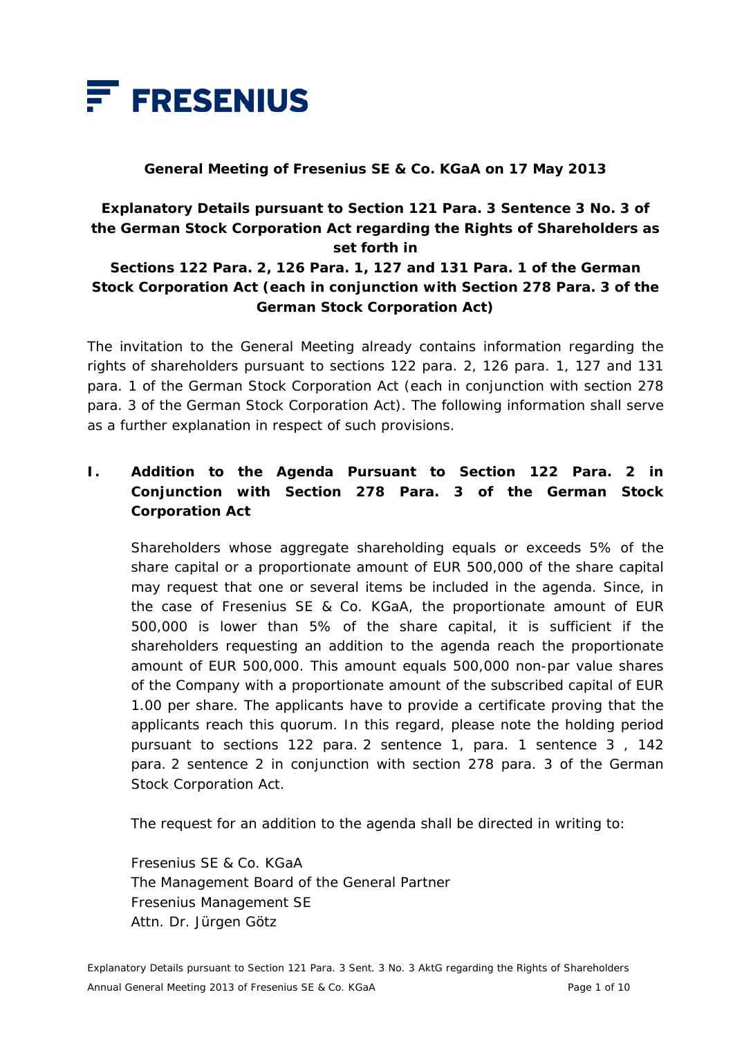

#### **General Meeting of Fresenius SE & Co. KGaA on 17 May 2013**

## **Explanatory Details pursuant to Section 121 Para. 3 Sentence 3 No. 3 of the German Stock Corporation Act regarding the Rights of Shareholders as set forth in**

### **Sections 122 Para. 2, 126 Para. 1, 127 and 131 Para. 1 of the German Stock Corporation Act (each in conjunction with Section 278 Para. 3 of the German Stock Corporation Act)**

The invitation to the General Meeting already contains information regarding the rights of shareholders pursuant to sections 122 para. 2, 126 para. 1, 127 and 131 para. 1 of the German Stock Corporation Act (each in conjunction with section 278 para. 3 of the German Stock Corporation Act). The following information shall serve as a further explanation in respect of such provisions.

## **I. Addition to the Agenda Pursuant to Section 122 Para. 2 in Conjunction with Section 278 Para. 3 of the German Stock Corporation Act**

 Shareholders whose aggregate shareholding equals or exceeds 5% of the share capital or a proportionate amount of EUR 500,000 of the share capital may request that one or several items be included in the agenda. Since, in the case of Fresenius SE & Co. KGaA, the proportionate amount of EUR 500,000 is lower than 5% of the share capital, it is sufficient if the shareholders requesting an addition to the agenda reach the proportionate amount of EUR 500,000. This amount equals 500,000 non-par value shares of the Company with a proportionate amount of the subscribed capital of EUR 1.00 per share. The applicants have to provide a certificate proving that the applicants reach this quorum. In this regard, please note the holding period pursuant to sections 122 para. 2 sentence 1, para. 1 sentence 3 , 142 para. 2 sentence 2 in conjunction with section 278 para. 3 of the German Stock Corporation Act.

The request for an addition to the agenda shall be directed in writing to:

 Fresenius SE & Co. KGaA The Management Board of the General Partner Fresenius Management SE Attn. Dr. Jürgen Götz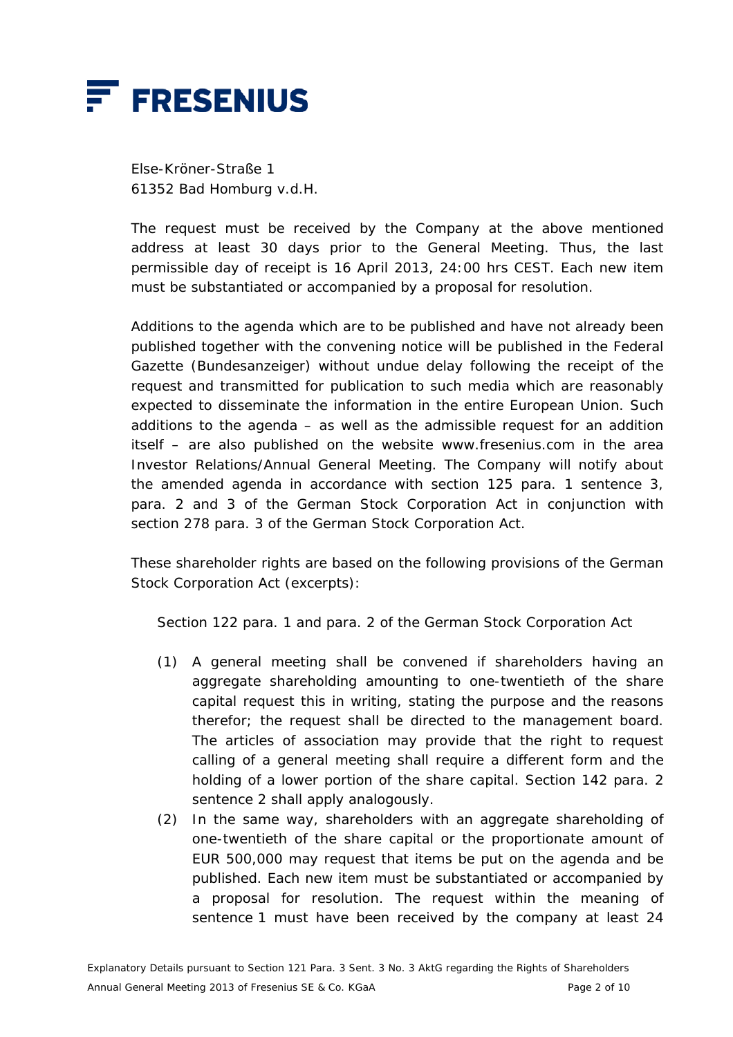

 Else-Kröner-Straße 1 61352 Bad Homburg v.d.H.

 The request must be received by the Company at the above mentioned address at least 30 days prior to the General Meeting. Thus, the last permissible day of receipt is 16 April 2013, 24:00 hrs CEST. Each new item must be substantiated or accompanied by a proposal for resolution.

 Additions to the agenda which are to be published and have not already been published together with the convening notice will be published in the Federal Gazette (*Bundesanzeiger*) without undue delay following the receipt of the request and transmitted for publication to such media which are reasonably expected to disseminate the information in the entire European Union. Such additions to the agenda  $-$  as well as the admissible request for an addition itself – are also published on the website www.fresenius.com in the area Investor Relations/Annual General Meeting. The Company will notify about the amended agenda in accordance with section 125 para. 1 sentence 3, para. 2 and 3 of the German Stock Corporation Act in conjunction with section 278 para. 3 of the German Stock Corporation Act.

 These shareholder rights are based on the following provisions of the German Stock Corporation Act (excerpts):

Section 122 para. 1 and para. 2 of the German Stock Corporation Act

- (1) A general meeting shall be convened if shareholders having an aggregate shareholding amounting to one-twentieth of the share capital request this in writing, stating the purpose and the reasons therefor; the request shall be directed to the management board. The articles of association may provide that the right to request calling of a general meeting shall require a different form and the holding of a lower portion of the share capital. Section 142 para. 2 sentence 2 shall apply analogously.
- (2) In the same way, shareholders with an aggregate shareholding of one-twentieth of the share capital or the proportionate amount of EUR 500,000 may request that items be put on the agenda and be published. Each new item must be substantiated or accompanied by a proposal for resolution. The request within the meaning of sentence 1 must have been received by the company at least 24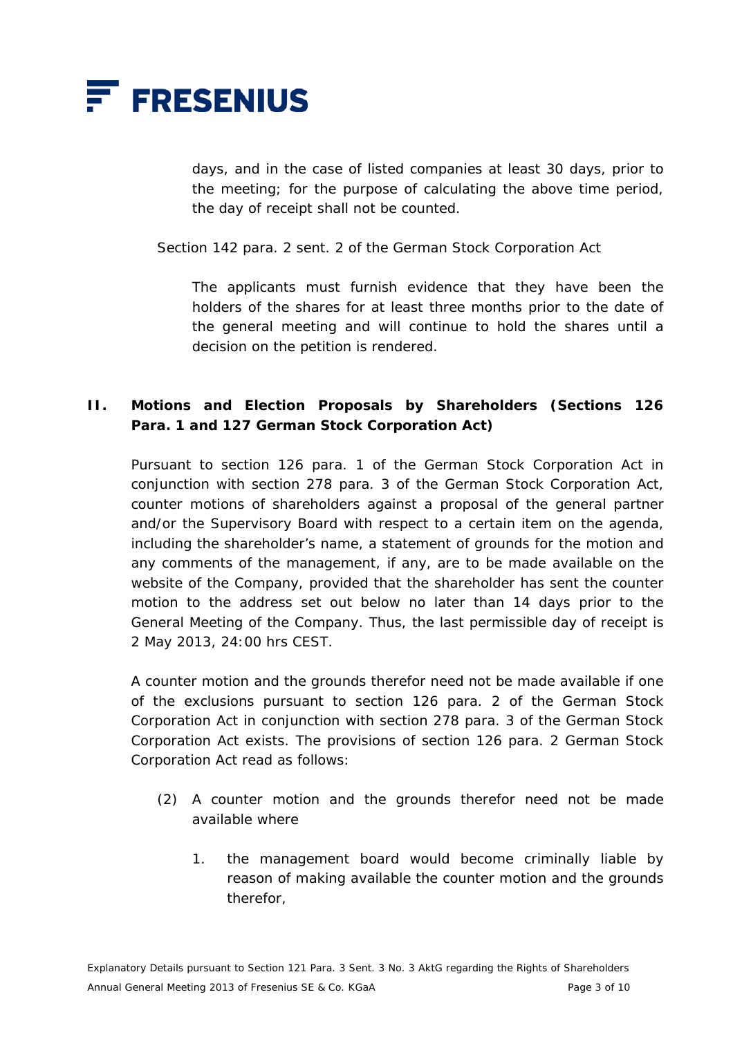

days, and in the case of listed companies at least 30 days, prior to the meeting; for the purpose of calculating the above time period, the day of receipt shall not be counted.

Section 142 para. 2 sent. 2 of the German Stock Corporation Act

 The applicants must furnish evidence that they have been the holders of the shares for at least three months prior to the date of the general meeting and will continue to hold the shares until a decision on the petition is rendered.

### **II. Motions and Election Proposals by Shareholders (Sections 126 Para. 1 and 127 German Stock Corporation Act)**

 Pursuant to section 126 para. 1 of the German Stock Corporation Act in conjunction with section 278 para. 3 of the German Stock Corporation Act, counter motions of shareholders against a proposal of the general partner and/or the Supervisory Board with respect to a certain item on the agenda, including the shareholder's name, a statement of grounds for the motion and any comments of the management, if any, are to be made available on the website of the Company, provided that the shareholder has sent the counter motion to the address set out below no later than 14 days prior to the General Meeting of the Company. Thus, the last permissible day of receipt is 2 May 2013, 24:00 hrs CEST.

 A counter motion and the grounds therefor need not be made available if one of the exclusions pursuant to section 126 para. 2 of the German Stock Corporation Act in conjunction with section 278 para. 3 of the German Stock Corporation Act exists. The provisions of section 126 para. 2 German Stock Corporation Act read as follows:

- (2) A counter motion and the grounds therefor need not be made available where
	- 1. the management board would become criminally liable by reason of making available the counter motion and the grounds therefor,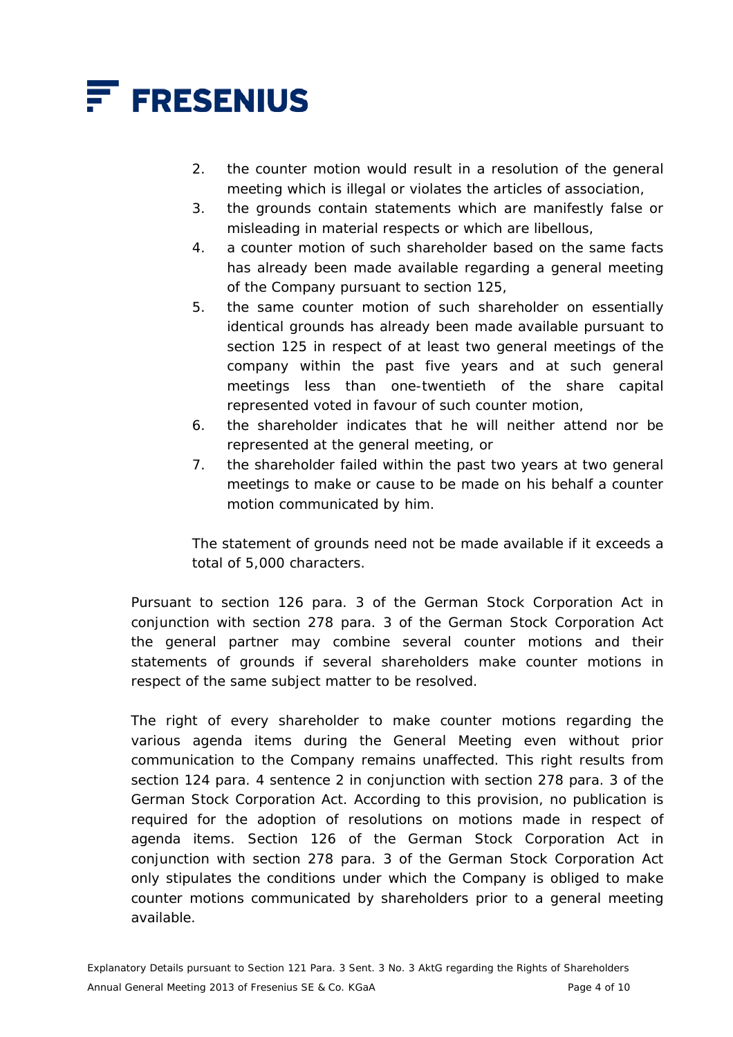

- 2. the counter motion would result in a resolution of the general meeting which is illegal or violates the articles of association,
- 3. the grounds contain statements which are manifestly false or misleading in material respects or which are libellous,
- 4. a counter motion of such shareholder based on the same facts has already been made available regarding a general meeting of the Company pursuant to section 125,
- 5. the same counter motion of such shareholder on essentially identical grounds has already been made available pursuant to section 125 in respect of at least two general meetings of the company within the past five years and at such general meetings less than one-twentieth of the share capital represented voted in favour of such counter motion,
- 6. the shareholder indicates that he will neither attend nor be represented at the general meeting, or
- 7. the shareholder failed within the past two years at two general meetings to make or cause to be made on his behalf a counter motion communicated by him.

 The statement of grounds need not be made available if it exceeds a total of 5,000 characters.

 Pursuant to section 126 para. 3 of the German Stock Corporation Act in conjunction with section 278 para. 3 of the German Stock Corporation Act the general partner may combine several counter motions and their statements of grounds if several shareholders make counter motions in respect of the same subject matter to be resolved.

The right of every shareholder to make counter motions regarding the various agenda items during the General Meeting even without prior communication to the Company remains unaffected. This right results from section 124 para. 4 sentence 2 in conjunction with section 278 para. 3 of the German Stock Corporation Act. According to this provision, no publication is required for the adoption of resolutions on motions made in respect of agenda items. Section 126 of the German Stock Corporation Act in conjunction with section 278 para. 3 of the German Stock Corporation Act only stipulates the conditions under which the Company is obliged to make counter motions communicated by shareholders prior to a general meeting available.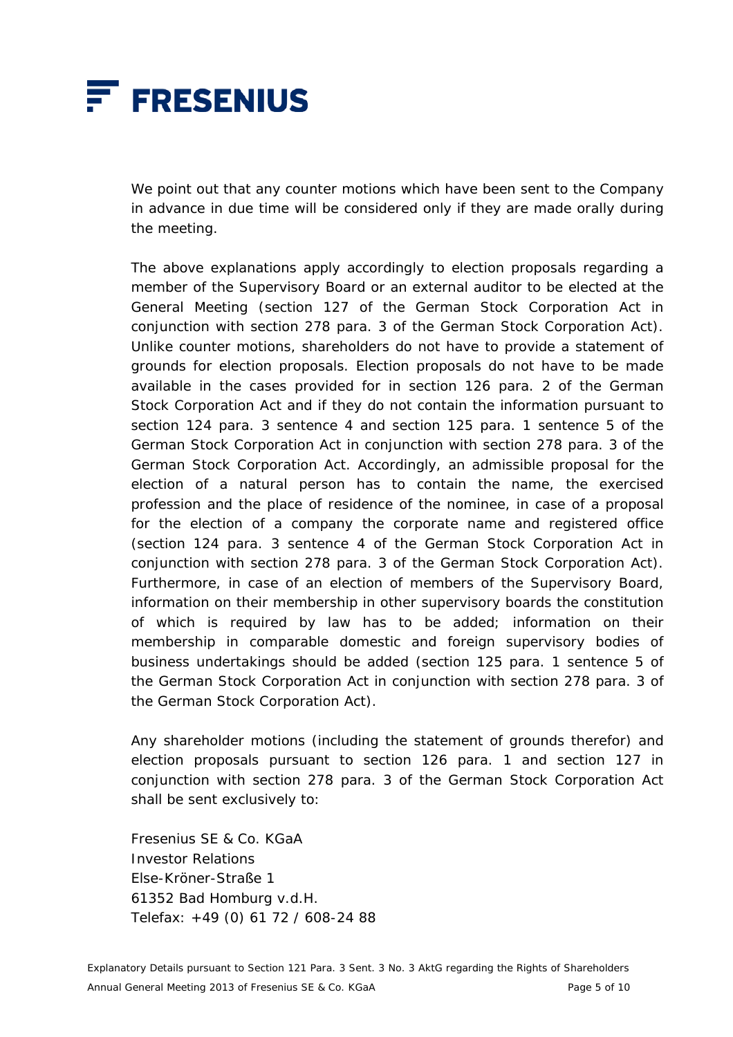

 We point out that any counter motions which have been sent to the Company in advance in due time will be considered only if they are made orally during the meeting.

 The above explanations apply accordingly to election proposals regarding a member of the Supervisory Board or an external auditor to be elected at the General Meeting (section 127 of the German Stock Corporation Act in conjunction with section 278 para. 3 of the German Stock Corporation Act). Unlike counter motions, shareholders do not have to provide a statement of grounds for election proposals. Election proposals do not have to be made available in the cases provided for in section 126 para. 2 of the German Stock Corporation Act and if they do not contain the information pursuant to section 124 para. 3 sentence 4 and section 125 para. 1 sentence 5 of the German Stock Corporation Act in conjunction with section 278 para. 3 of the German Stock Corporation Act. Accordingly, an admissible proposal for the election of a natural person has to contain the name, the exercised profession and the place of residence of the nominee, in case of a proposal for the election of a company the corporate name and registered office (section 124 para. 3 sentence 4 of the German Stock Corporation Act in conjunction with section 278 para. 3 of the German Stock Corporation Act). Furthermore, in case of an election of members of the Supervisory Board, information on their membership in other supervisory boards the constitution of which is required by law has to be added; information on their membership in comparable domestic and foreign supervisory bodies of business undertakings should be added (section 125 para. 1 sentence 5 of the German Stock Corporation Act in conjunction with section 278 para. 3 of the German Stock Corporation Act).

 Any shareholder motions (including the statement of grounds therefor) and election proposals pursuant to section 126 para. 1 and section 127 in conjunction with section 278 para. 3 of the German Stock Corporation Act shall be sent exclusively to:

 Fresenius SE & Co. KGaA Investor Relations Else-Kröner-Straße 1 61352 Bad Homburg v.d.H. Telefax: +49 (0) 61 72 / 608-24 88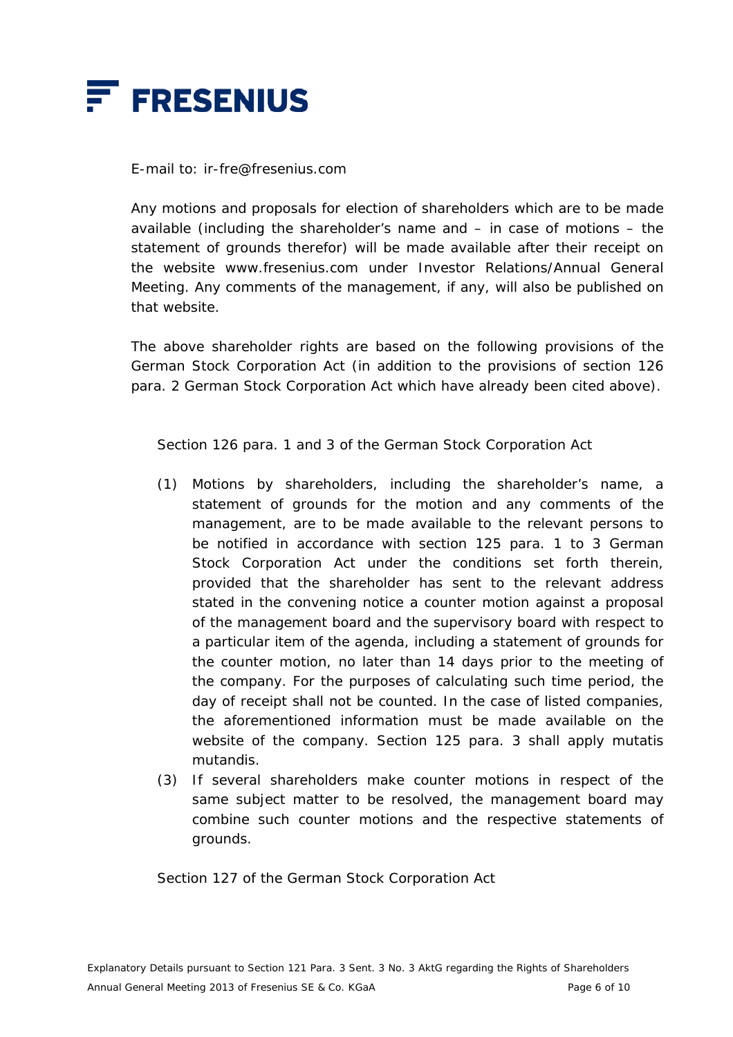

E-mail to: ir-fre@fresenius.com

 Any motions and proposals for election of shareholders which are to be made available (including the shareholder's name and – in case of motions – the statement of grounds therefor) will be made available after their receipt on the website www.fresenius.com under Investor Relations/Annual General Meeting. Any comments of the management, if any, will also be published on that website.

 The above shareholder rights are based on the following provisions of the German Stock Corporation Act (in addition to the provisions of section 126 para. 2 German Stock Corporation Act which have already been cited above).

Section 126 para. 1 and 3 of the German Stock Corporation Act

- (1) Motions by shareholders, including the shareholder's name, a statement of grounds for the motion and any comments of the management, are to be made available to the relevant persons to be notified in accordance with section 125 para. 1 to 3 German Stock Corporation Act under the conditions set forth therein, provided that the shareholder has sent to the relevant address stated in the convening notice a counter motion against a proposal of the management board and the supervisory board with respect to a particular item of the agenda, including a statement of grounds for the counter motion, no later than 14 days prior to the meeting of the company. For the purposes of calculating such time period, the day of receipt shall not be counted. In the case of listed companies, the aforementioned information must be made available on the website of the company. Section 125 para. 3 shall apply mutatis mutandis.
- (3) If several shareholders make counter motions in respect of the same subject matter to be resolved, the management board may combine such counter motions and the respective statements of grounds.

Section 127 of the German Stock Corporation Act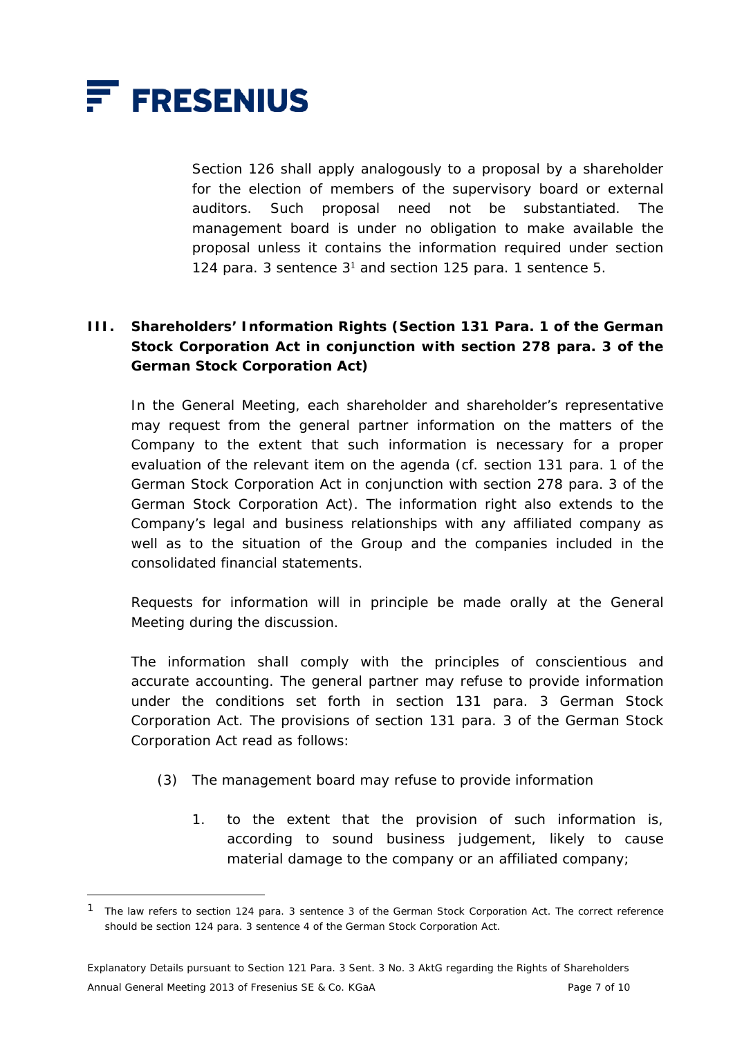

 $\overline{a}$ 

 Section 126 shall apply analogously to a proposal by a shareholder for the election of members of the supervisory board or external auditors. Such proposal need not be substantiated. The management board is under no obligation to make available the proposal unless it contains the information required under section 124 para. 3 sentence  $3<sup>1</sup>$  and section 125 para. 1 sentence 5.

# **III. Shareholders' Information Rights (Section 131 Para. 1 of the German Stock Corporation Act in conjunction with section 278 para. 3 of the German Stock Corporation Act)**

 In the General Meeting, each shareholder and shareholder's representative may request from the general partner information on the matters of the Company to the extent that such information is necessary for a proper evaluation of the relevant item on the agenda (cf. section 131 para. 1 of the German Stock Corporation Act in conjunction with section 278 para. 3 of the German Stock Corporation Act). The information right also extends to the Company's legal and business relationships with any affiliated company as well as to the situation of the Group and the companies included in the consolidated financial statements.

 Requests for information will in principle be made orally at the General Meeting during the discussion.

 The information shall comply with the principles of conscientious and accurate accounting. The general partner may refuse to provide information under the conditions set forth in section 131 para. 3 German Stock Corporation Act. The provisions of section 131 para. 3 of the German Stock Corporation Act read as follows:

- (3) The management board may refuse to provide information
	- 1. to the extent that the provision of such information is, according to sound business judgement, likely to cause material damage to the company or an affiliated company;

<sup>1</sup> The law refers to section 124 para. 3 sentence 3 of the German Stock Corporation Act. The correct reference should be section 124 para. 3 sentence 4 of the German Stock Corporation Act.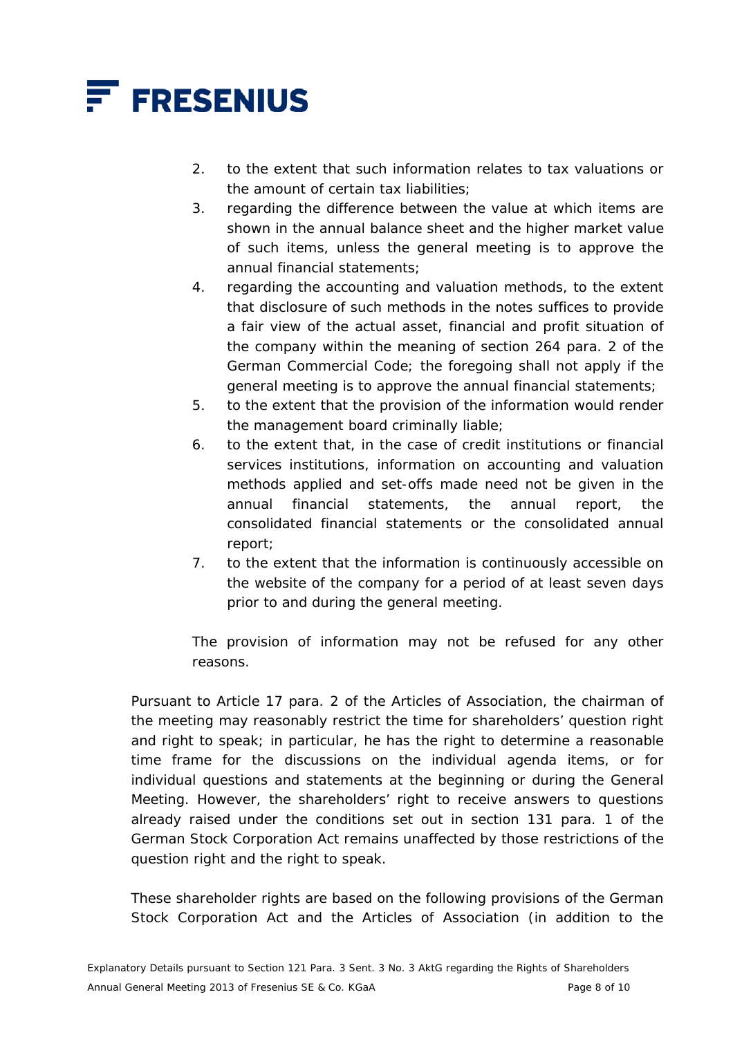

- 2. to the extent that such information relates to tax valuations or the amount of certain tax liabilities;
- 3. regarding the difference between the value at which items are shown in the annual balance sheet and the higher market value of such items, unless the general meeting is to approve the annual financial statements;
- 4. regarding the accounting and valuation methods, to the extent that disclosure of such methods in the notes suffices to provide a fair view of the actual asset, financial and profit situation of the company within the meaning of section 264 para. 2 of the German Commercial Code; the foregoing shall not apply if the general meeting is to approve the annual financial statements;
- 5. to the extent that the provision of the information would render the management board criminally liable;
- 6. to the extent that, in the case of credit institutions or financial services institutions, information on accounting and valuation methods applied and set-offs made need not be given in the annual financial statements, the annual report, the consolidated financial statements or the consolidated annual report;
- 7. to the extent that the information is continuously accessible on the website of the company for a period of at least seven days prior to and during the general meeting.

 The provision of information may not be refused for any other reasons.

 Pursuant to Article 17 para. 2 of the Articles of Association, the chairman of the meeting may reasonably restrict the time for shareholders' question right and right to speak; in particular, he has the right to determine a reasonable time frame for the discussions on the individual agenda items, or for individual questions and statements at the beginning or during the General Meeting. However, the shareholders' right to receive answers to questions already raised under the conditions set out in section 131 para. 1 of the German Stock Corporation Act remains unaffected by those restrictions of the question right and the right to speak.

 These shareholder rights are based on the following provisions of the German Stock Corporation Act and the Articles of Association (in addition to the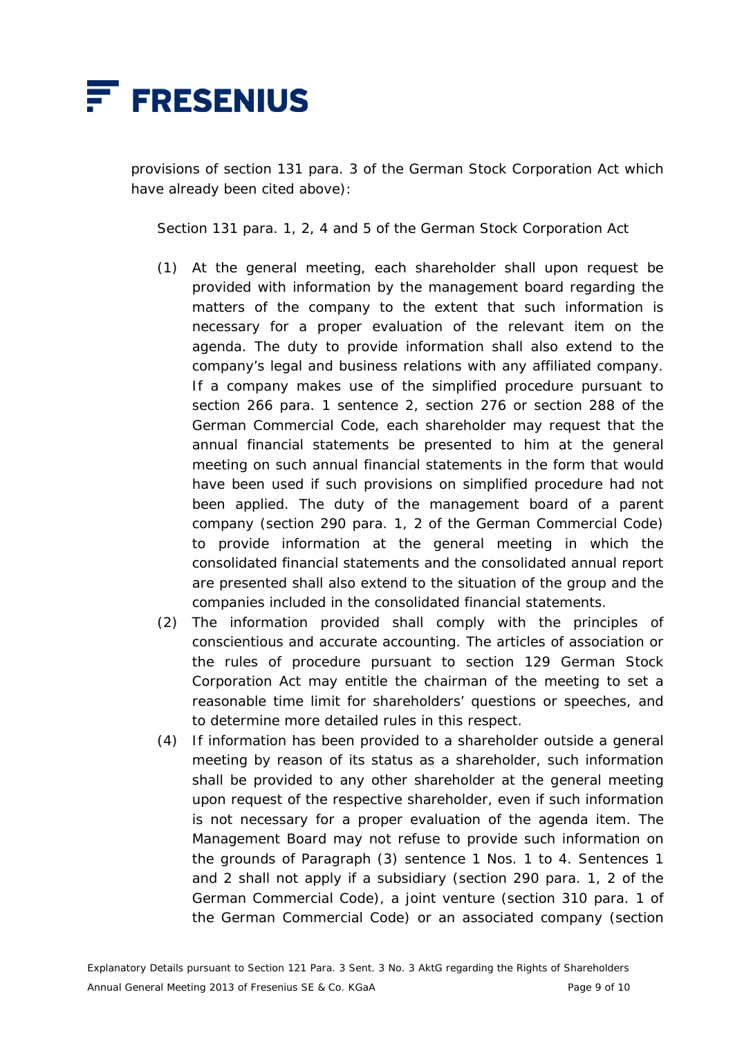

provisions of section 131 para. 3 of the German Stock Corporation Act which have already been cited above):

Section 131 para. 1, 2, 4 and 5 of the German Stock Corporation Act

- (1) At the general meeting, each shareholder shall upon request be provided with information by the management board regarding the matters of the company to the extent that such information is necessary for a proper evaluation of the relevant item on the agenda. The duty to provide information shall also extend to the company's legal and business relations with any affiliated company. If a company makes use of the simplified procedure pursuant to section 266 para. 1 sentence 2, section 276 or section 288 of the German Commercial Code, each shareholder may request that the annual financial statements be presented to him at the general meeting on such annual financial statements in the form that would have been used if such provisions on simplified procedure had not been applied. The duty of the management board of a parent company (section 290 para. 1, 2 of the German Commercial Code) to provide information at the general meeting in which the consolidated financial statements and the consolidated annual report are presented shall also extend to the situation of the group and the companies included in the consolidated financial statements.
- (2) The information provided shall comply with the principles of conscientious and accurate accounting. The articles of association or the rules of procedure pursuant to section 129 German Stock Corporation Act may entitle the chairman of the meeting to set a reasonable time limit for shareholders' questions or speeches, and to determine more detailed rules in this respect.
- (4) If information has been provided to a shareholder outside a general meeting by reason of its status as a shareholder, such information shall be provided to any other shareholder at the general meeting upon request of the respective shareholder, even if such information is not necessary for a proper evaluation of the agenda item. The Management Board may not refuse to provide such information on the grounds of Paragraph (3) sentence 1 Nos. 1 to 4. Sentences 1 and 2 shall not apply if a subsidiary (section 290 para. 1, 2 of the German Commercial Code), a joint venture (section 310 para. 1 of the German Commercial Code) or an associated company (section